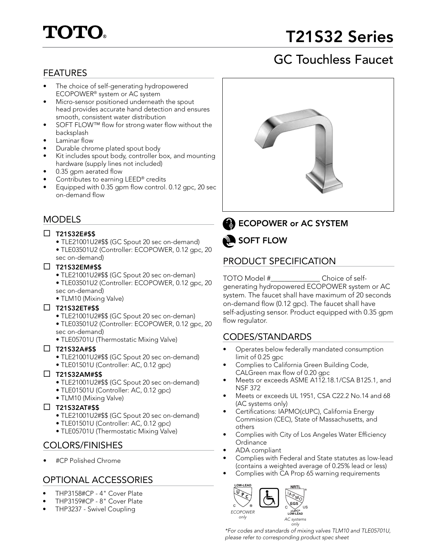# **TOTO.**

# T21S32 Series

# GC Touchless Faucet

# FEATURES

- The choice of self-generating hydropowered ECOPOWER® system or AC system
- Micro-sensor positioned underneath the spout head provides accurate hand detection and ensures smooth, consistent water distribution
- SOFT FLOW™ flow for strong water flow without the backsplash
- Laminar flow
- Durable chrome plated spout body
- Kit includes spout body, controller box, and mounting hardware (supply lines not included)
- 0.35 gpm aerated flow
- Contributes to earning LEED® credits
- Equipped with 0.35 gpm flow control. 0.12 gpc, 20 sec on-demand flow

# MODELS

### $\square$  T21S32E#\$\$

- TLE21001U2#\$\$ (GC Spout 20 sec on-demand)
- TLE03501U2 (Controller: ECOPOWER, 0.12 gpc, 20 sec on-demand)

### $\square$  T21S32EM#\$\$

- TLE21001U2#\$\$ (GC Spout 20 sec on-deman)
- TLE03501U2 (Controller: ECOPOWER, 0.12 gpc, 20 sec on-demand)
- TLM10 (Mixing Valve)

# $\square$  T21S32ET#\$\$

- TLE21001U2#\$\$ (GC Spout 20 sec on-deman)
- TLE03501U2 (Controller: ECOPOWER, 0.12 gpc, 20 sec on-demand)
- TLE05701U (Thermostatic Mixing Valve)

### $\square$  T21S32A#\$\$

- TLE21001U2#\$\$ (GC Spout 20 sec on-demand)
- TLE01501U (Controller: AC, 0.12 gpc)

# $\square$  T21S32AM#\$\$

- TLE21001U2#\$\$ (GC Spout 20 sec on-demand)
- TLE01501U (Controller: AC, 0.12 gpc)
- TLM10 (Mixing Valve)

### $\square$  T21S32AT#\$\$

- TLE21001U2#\$\$ (GC Spout 20 sec on-demand)
- TLE01501U (Controller: AC, 0.12 gpc)
- TLE05701U (Thermostatic Mixing Valve)

# COLORS/FINISHES

• #CP Polished Chrome

# OPTIONAL ACCESSORIES

- THP3158#CP 4" Cover Plate
- THP3159#CP 8" Cover Plate
- THP3237 Swivel Coupling



# **B** ECOPOWER or AC SYSTEM

SOFT FLOW

# PRODUCT SPECIFICATION

TOTO Model #\_\_\_\_\_\_\_\_\_\_\_\_\_\_ Choice of selfgenerating hydropowered ECOPOWER system or AC system. The faucet shall have maximum of 20 seconds on-demand flow (0.12 gpc). The faucet shall have self-adjusting sensor. Product equipped with 0.35 gpm flow regulator.

# CODES/STANDARDS

- Operates below federally mandated consumption limit of 0.25 gpc
- Complies to California Green Building Code, CALGreen max flow of 0.20 gpc
- Meets or exceeds ASME A112.18.1/CSA B125.1, and NSF 372
- Meets or exceeds UL 1951, CSA C22.2 No.14 and 68 (AC systems only)
- Certifications: IAPMO(cUPC), California Energy Commission (CEC), State of Massachusetts, and others
- Complies with City of Los Angeles Water Efficiency **Ordinance**
- ADA compliant
- Complies with Federal and State statutes as low-lead (contains a weighted average of 0.25% lead or less)
- Complies with CA Prop 65 warning requirements



*\*For codes and standards of mixing valves TLM10 and TLE05701U, please refer to corresponding product spec sheet*